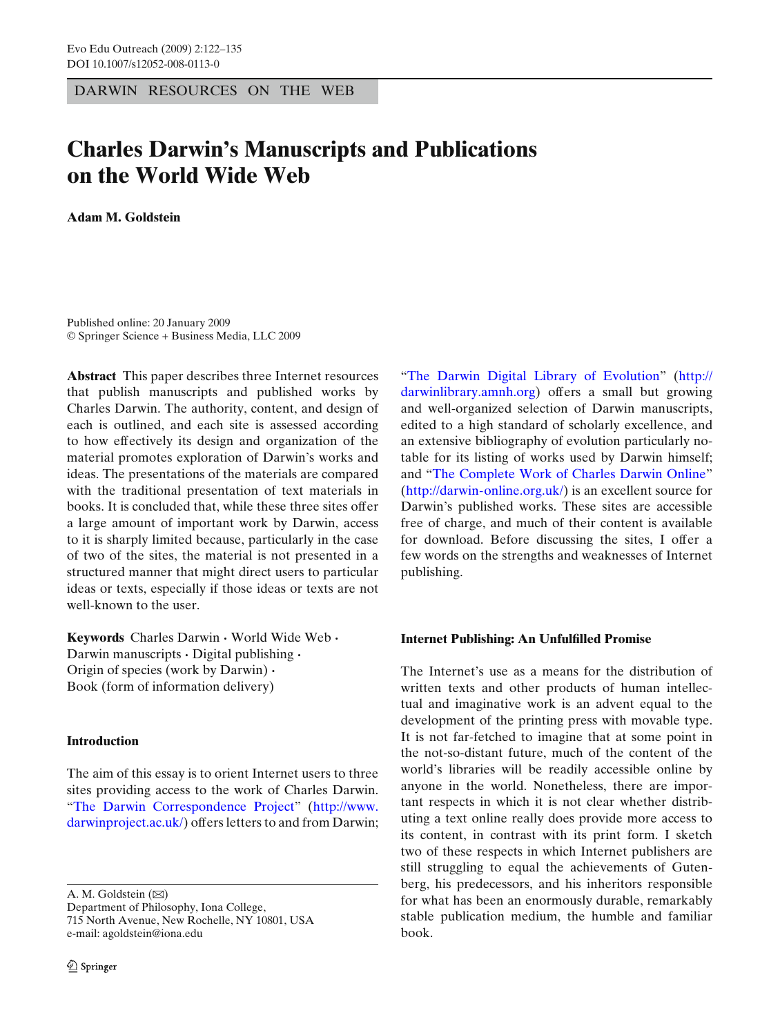DARWIN RESOURCES ON THE WEB

# **Charles Darwin's Manuscripts and Publications on the World Wide Web**

**Adam M. Goldstein**

Published online: 20 January 2009 © Springer Science + Business Media, LLC 2009

**Abstract** This paper describes three Internet resources that publish manuscripts and published works by Charles Darwin. The authority, content, and design of each is outlined, and each site is assessed according to how effectively its design and organization of the material promotes exploration of Darwin's works and ideas. The presentations of the materials are compared with the traditional presentation of text materials in books. It is concluded that, while these three sites offer a large amount of important work by Darwin, access to it is sharply limited because, particularly in the case of two of the sites, the material is not presented in a structured manner that might direct users to particular ideas or texts, especially if those ideas or texts are not well-known to the user.

**Keywords** Charles Darwin **·** World Wide Web **·** Darwin manuscripts **·** Digital publishing **·** Origin of species (work by Darwin) **·** Book (form of information delivery)

# **Introduction**

The aim of this essay is to orient Internet users to three sites providing access to the work of Charles Darwin. ["The Darwin Correspondence Project"](#page-2-0) [\(http://www.](http://www.darwinproject.ac.uk/) [darwinproject.ac.uk/\)](http://www.darwinproject.ac.uk/) offers letters to and from Darwin;

A. M. Goldstein  $(\boxtimes)$ 

Department of Philosophy, Iona College, 715 North Avenue, New Rochelle, NY 10801, USA e-mail: agoldstein@iona.edu

["The Darwin Digital Library of Evolution"](#page-4-0) [\(http://](http://darwinlibrary.amnh.org) [darwinlibrary.amnh.org\)](http://darwinlibrary.amnh.org) offers a small but growing and well-organized selection of Darwin manuscripts, edited to a high standard of scholarly excellence, and an extensive bibliography of evolution particularly notable for its listing of works used by Darwin himself; and ["The Complete Work of Charles Darwin Online"](#page-9-0) [\(http://darwin-online.org.uk/\)](http://darwin-online.org.uk/) is an excellent source for Darwin's published works. These sites are accessible free of charge, and much of their content is available for download. Before discussing the sites, I offer a few words on the strengths and weaknesses of Internet publishing.

# **Internet Publishing: An Unfulfilled Promise**

The Internet's use as a means for the distribution of written texts and other products of human intellectual and imaginative work is an advent equal to the development of the printing press with movable type. It is not far-fetched to imagine that at some point in the not-so-distant future, much of the content of the world's libraries will be readily accessible online by anyone in the world. Nonetheless, there are important respects in which it is not clear whether distributing a text online really does provide more access to its content, in contrast with its print form. I sketch two of these respects in which Internet publishers are still struggling to equal the achievements of Gutenberg, his predecessors, and his inheritors responsible for what has been an enormously durable, remarkably stable publication medium, the humble and familiar book.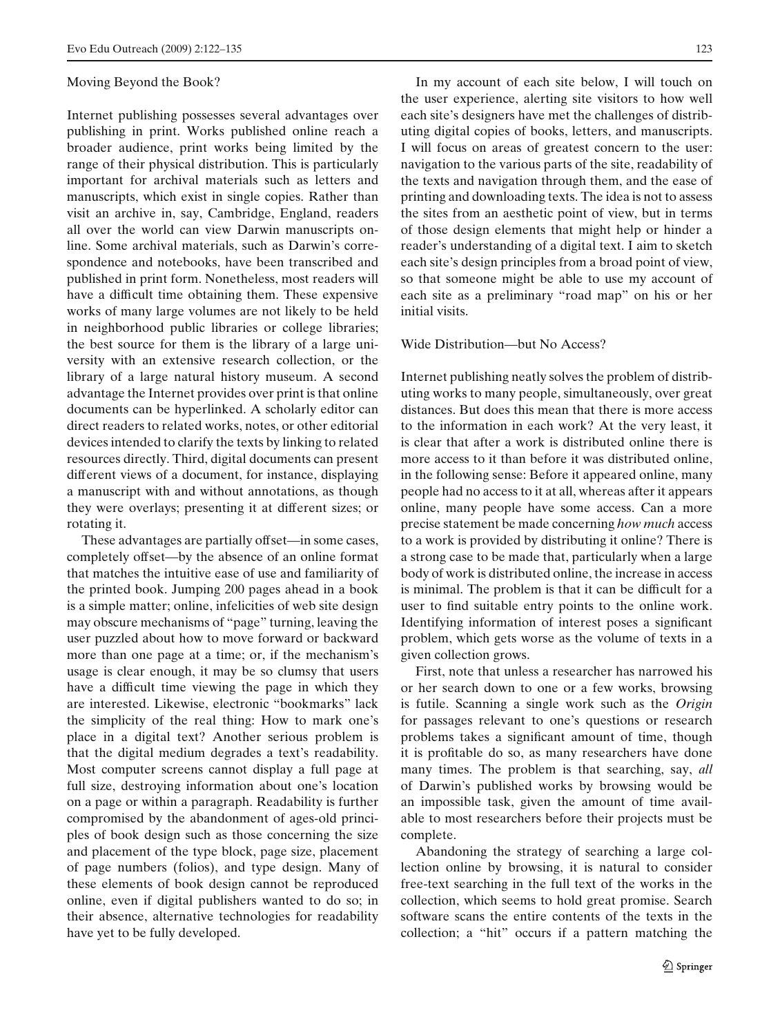## Moving Beyond the Book?

Internet publishing possesses several advantages over publishing in print. Works published online reach a broader audience, print works being limited by the range of their physical distribution. This is particularly important for archival materials such as letters and manuscripts, which exist in single copies. Rather than visit an archive in, say, Cambridge, England, readers all over the world can view Darwin manuscripts online. Some archival materials, such as Darwin's correspondence and notebooks, have been transcribed and published in print form. Nonetheless, most readers will have a difficult time obtaining them. These expensive works of many large volumes are not likely to be held in neighborhood public libraries or college libraries; the best source for them is the library of a large university with an extensive research collection, or the library of a large natural history museum. A second advantage the Internet provides over print is that online documents can be hyperlinked. A scholarly editor can direct readers to related works, notes, or other editorial devices intended to clarify the texts by linking to related resources directly. Third, digital documents can present different views of a document, for instance, displaying a manuscript with and without annotations, as though they were overlays; presenting it at different sizes; or rotating it.

These advantages are partially offset—in some cases, completely offset—by the absence of an online format that matches the intuitive ease of use and familiarity of the printed book. Jumping 200 pages ahead in a book is a simple matter; online, infelicities of web site design may obscure mechanisms of "page" turning, leaving the user puzzled about how to move forward or backward more than one page at a time; or, if the mechanism's usage is clear enough, it may be so clumsy that users have a difficult time viewing the page in which they are interested. Likewise, electronic "bookmarks" lack the simplicity of the real thing: How to mark one's place in a digital text? Another serious problem is that the digital medium degrades a text's readability. Most computer screens cannot display a full page at full size, destroying information about one's location on a page or within a paragraph. Readability is further compromised by the abandonment of ages-old principles of book design such as those concerning the size and placement of the type block, page size, placement of page numbers (folios), and type design. Many of these elements of book design cannot be reproduced online, even if digital publishers wanted to do so; in their absence, alternative technologies for readability have yet to be fully developed.

In my account of each site below, I will touch on the user experience, alerting site visitors to how well each site's designers have met the challenges of distributing digital copies of books, letters, and manuscripts. I will focus on areas of greatest concern to the user: navigation to the various parts of the site, readability of the texts and navigation through them, and the ease of printing and downloading texts. The idea is not to assess the sites from an aesthetic point of view, but in terms of those design elements that might help or hinder a reader's understanding of a digital text. I aim to sketch each site's design principles from a broad point of view, so that someone might be able to use my account of each site as a preliminary "road map" on his or her initial visits.

# Wide Distribution—but No Access?

Internet publishing neatly solves the problem of distributing works to many people, simultaneously, over great distances. But does this mean that there is more access to the information in each work? At the very least, it is clear that after a work is distributed online there is more access to it than before it was distributed online, in the following sense: Before it appeared online, many people had no access to it at all, whereas after it appears online, many people have some access. Can a more precise statement be made concerning *how much* access to a work is provided by distributing it online? There is a strong case to be made that, particularly when a large body of work is distributed online, the increase in access is minimal. The problem is that it can be difficult for a user to find suitable entry points to the online work. Identifying information of interest poses a significant problem, which gets worse as the volume of texts in a given collection grows.

First, note that unless a researcher has narrowed his or her search down to one or a few works, browsing is futile. Scanning a single work such as the *Origin* for passages relevant to one's questions or research problems takes a significant amount of time, though it is profitable do so, as many researchers have done many times. The problem is that searching, say, *all* of Darwin's published works by browsing would be an impossible task, given the amount of time available to most researchers before their projects must be complete.

Abandoning the strategy of searching a large collection online by browsing, it is natural to consider free-text searching in the full text of the works in the collection, which seems to hold great promise. Search software scans the entire contents of the texts in the collection; a "hit" occurs if a pattern matching the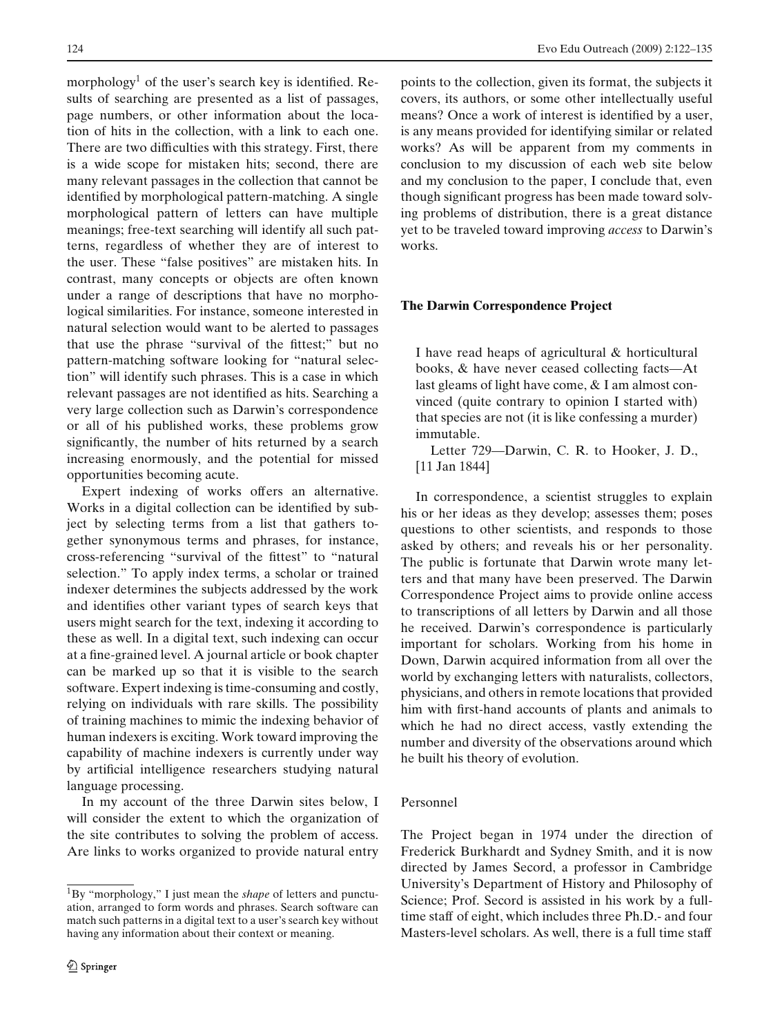<span id="page-2-0"></span>morphology<sup>1</sup> of the user's search key is identified. Results of searching are presented as a list of passages, page numbers, or other information about the location of hits in the collection, with a link to each one. There are two difficulties with this strategy. First, there is a wide scope for mistaken hits; second, there are many relevant passages in the collection that cannot be identified by morphological pattern-matching. A single morphological pattern of letters can have multiple meanings; free-text searching will identify all such patterns, regardless of whether they are of interest to the user. These "false positives" are mistaken hits. In contrast, many concepts or objects are often known under a range of descriptions that have no morphological similarities. For instance, someone interested in natural selection would want to be alerted to passages that use the phrase "survival of the fittest;" but no pattern-matching software looking for "natural selection" will identify such phrases. This is a case in which relevant passages are not identified as hits. Searching a very large collection such as Darwin's correspondence or all of his published works, these problems grow significantly, the number of hits returned by a search increasing enormously, and the potential for missed opportunities becoming acute.

Expert indexing of works offers an alternative. Works in a digital collection can be identified by subject by selecting terms from a list that gathers together synonymous terms and phrases, for instance, cross-referencing "survival of the fittest" to "natural selection." To apply index terms, a scholar or trained indexer determines the subjects addressed by the work and identifies other variant types of search keys that users might search for the text, indexing it according to these as well. In a digital text, such indexing can occur at a fine-grained level. A journal article or book chapter can be marked up so that it is visible to the search software. Expert indexing is time-consuming and costly, relying on individuals with rare skills. The possibility of training machines to mimic the indexing behavior of human indexers is exciting. Work toward improving the capability of machine indexers is currently under way by artificial intelligence researchers studying natural language processing.

In my account of the three Darwin sites below, I will consider the extent to which the organization of the site contributes to solving the problem of access. Are links to works organized to provide natural entry points to the collection, given its format, the subjects it covers, its authors, or some other intellectually useful means? Once a work of interest is identified by a user, is any means provided for identifying similar or related works? As will be apparent from my comments in conclusion to my discussion of each web site below and my conclusion to the paper, I conclude that, even though significant progress has been made toward solving problems of distribution, there is a great distance yet to be traveled toward improving *access* to Darwin's works.

# **The Darwin Correspondence Project**

I have read heaps of agricultural & horticultural books, & have never ceased collecting facts—At last gleams of light have come, & I am almost convinced (quite contrary to opinion I started with) that species are not (it is like confessing a murder) immutable.

Letter 729—Darwin, C. R. to Hooker, J. D., [11 Jan 1844]

In correspondence, a scientist struggles to explain his or her ideas as they develop; assesses them; poses questions to other scientists, and responds to those asked by others; and reveals his or her personality. The public is fortunate that Darwin wrote many letters and that many have been preserved. The Darwin Correspondence Project aims to provide online access to transcriptions of all letters by Darwin and all those he received. Darwin's correspondence is particularly important for scholars. Working from his home in Down, Darwin acquired information from all over the world by exchanging letters with naturalists, collectors, physicians, and others in remote locations that provided him with first-hand accounts of plants and animals to which he had no direct access, vastly extending the number and diversity of the observations around which he built his theory of evolution.

## Personnel

The Project began in 1974 under the direction of Frederick Burkhardt and Sydney Smith, and it is now directed by James Secord, a professor in Cambridge University's Department of History and Philosophy of Science; Prof. Secord is assisted in his work by a fulltime staff of eight, which includes three Ph.D.- and four Masters-level scholars. As well, there is a full time staff

<sup>1</sup>By "morphology," I just mean the *shape* of letters and punctuation, arranged to form words and phrases. Search software can match such patterns in a digital text to a user's search key without having any information about their context or meaning.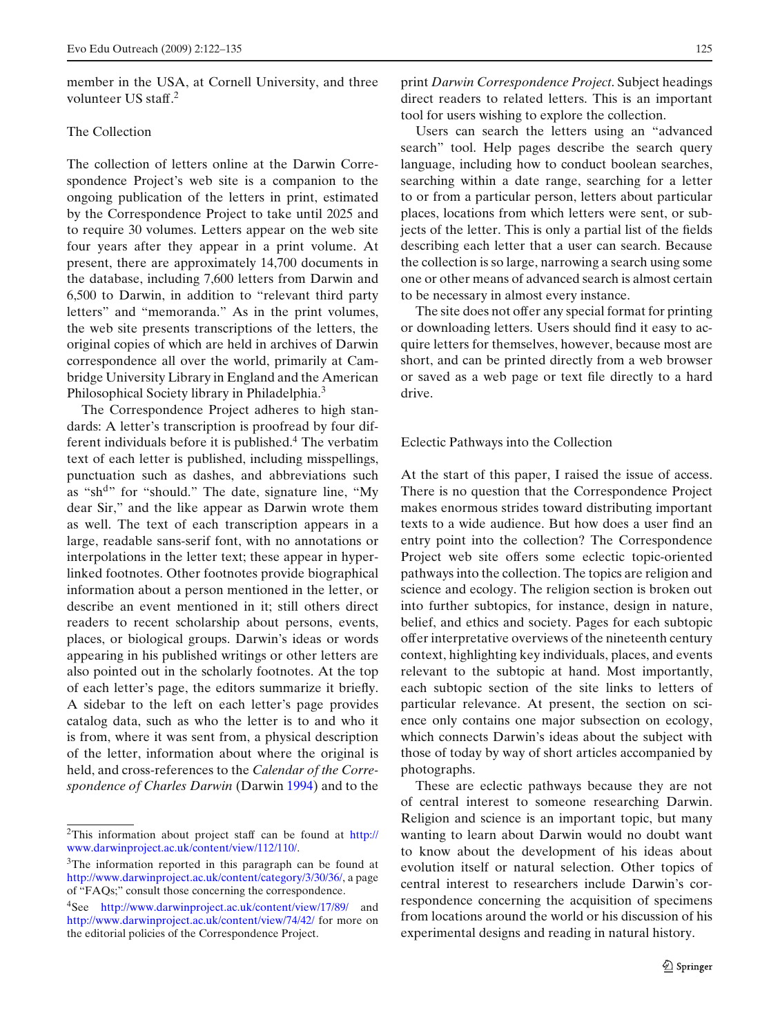member in the USA, at Cornell University, and three volunteer US staff.<sup>2</sup>

# The Collection

The collection of letters online at the Darwin Correspondence Project's web site is a companion to the ongoing publication of the letters in print, estimated by the Correspondence Project to take until 2025 and to require 30 volumes. Letters appear on the web site four years after they appear in a print volume. At present, there are approximately 14,700 documents in the database, including 7,600 letters from Darwin and 6,500 to Darwin, in addition to "relevant third party letters" and "memoranda." As in the print volumes, the web site presents transcriptions of the letters, the original copies of which are held in archives of Darwin correspondence all over the world, primarily at Cambridge University Library in England and the American Philosophical Society library in Philadelphia.<sup>3</sup>

The Correspondence Project adheres to high standards: A letter's transcription is proofread by four different individuals before it is published.<sup>4</sup> The verbatim text of each letter is published, including misspellings, punctuation such as dashes, and abbreviations such as "sh<sup>d</sup>" for "should." The date, signature line, "My dear Sir," and the like appear as Darwin wrote them as well. The text of each transcription appears in a large, readable sans-serif font, with no annotations or interpolations in the letter text; these appear in hyperlinked footnotes. Other footnotes provide biographical information about a person mentioned in the letter, or describe an event mentioned in it; still others direct readers to recent scholarship about persons, events, places, or biological groups. Darwin's ideas or words appearing in his published writings or other letters are also pointed out in the scholarly footnotes. At the top of each letter's page, the editors summarize it briefly. A sidebar to the left on each letter's page provides catalog data, such as who the letter is to and who it is from, where it was sent from, a physical description of the letter, information about where the original is held, and cross-references to the *Calendar of the Correspondence of Charles Darwin* (Darwi[n](#page-13-0) [1994](#page-13-0)) and to the print *Darwin Correspondence Project*. Subject headings direct readers to related letters. This is an important tool for users wishing to explore the collection.

Users can search the letters using an "advanced search" tool. Help pages describe the search query language, including how to conduct boolean searches, searching within a date range, searching for a letter to or from a particular person, letters about particular places, locations from which letters were sent, or subjects of the letter. This is only a partial list of the fields describing each letter that a user can search. Because the collection is so large, narrowing a search using some one or other means of advanced search is almost certain to be necessary in almost every instance.

The site does not offer any special format for printing or downloading letters. Users should find it easy to acquire letters for themselves, however, because most are short, and can be printed directly from a web browser or saved as a web page or text file directly to a hard drive.

Eclectic Pathways into the Collection

At the start of this paper, I raised the issue of access. There is no question that the Correspondence Project makes enormous strides toward distributing important texts to a wide audience. But how does a user find an entry point into the collection? The Correspondence Project web site offers some eclectic topic-oriented pathways into the collection. The topics are religion and science and ecology. The religion section is broken out into further subtopics, for instance, design in nature, belief, and ethics and society. Pages for each subtopic offer interpretative overviews of the nineteenth century context, highlighting key individuals, places, and events relevant to the subtopic at hand. Most importantly, each subtopic section of the site links to letters of particular relevance. At present, the section on science only contains one major subsection on ecology, which connects Darwin's ideas about the subject with those of today by way of short articles accompanied by photographs.

These are eclectic pathways because they are not of central interest to someone researching Darwin. Religion and science is an important topic, but many wanting to learn about Darwin would no doubt want to know about the development of his ideas about evolution itself or natural selection. Other topics of central interest to researchers include Darwin's correspondence concerning the acquisition of specimens from locations around the world or his discussion of his experimental designs and reading in natural history.

<sup>2</sup>This information about project staff can be found at [http://](http://www.darwinproject.ac.uk/content/view/112/110/) [www.darwinproject.ac.uk/content/view/112/110/.](http://www.darwinproject.ac.uk/content/view/112/110/)

<sup>&</sup>lt;sup>3</sup>The information reported in this paragraph can be found at [http://www.darwinproject.ac.uk/content/category/3/30/36/,](http://www.darwinproject.ac.uk/content/category/3/30/36/) a page of "FAQs;" consult those concerning the correspondence.

<sup>4</sup>See <http://www.darwinproject.ac.uk/content/view/17/89/> and <http://www.darwinproject.ac.uk/content/view/74/42/> for more on the editorial policies of the Correspondence Project.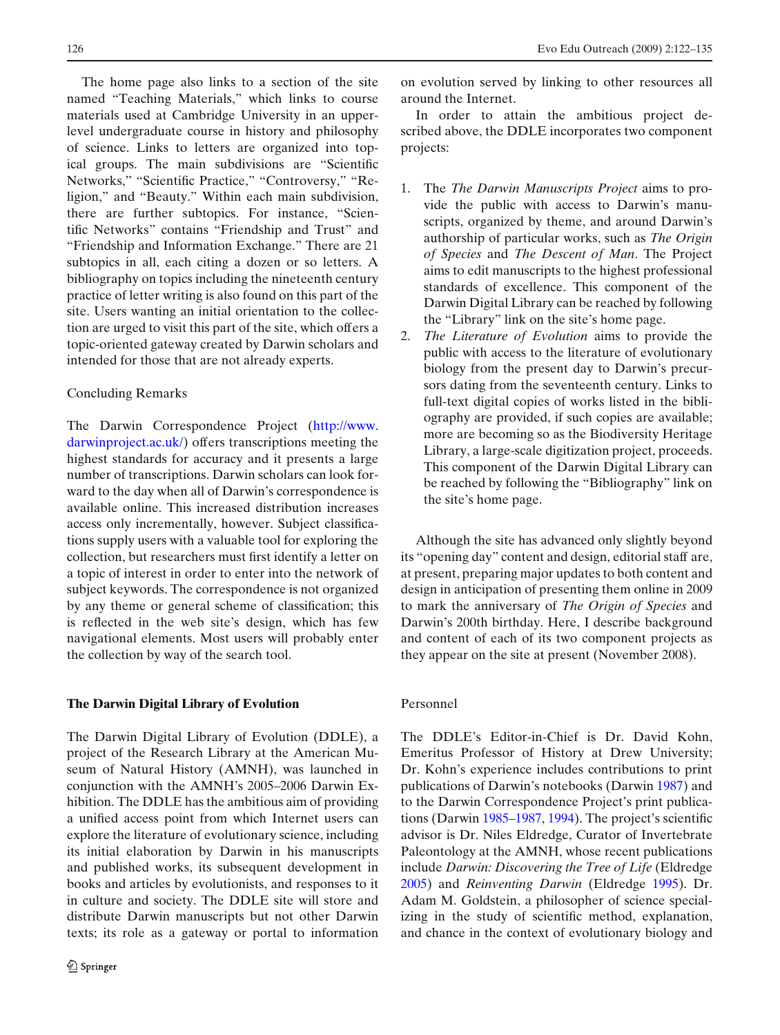<span id="page-4-0"></span>The home page also links to a section of the site named "Teaching Materials," which links to course materials used at Cambridge University in an upperlevel undergraduate course in history and philosophy of science. Links to letters are organized into topical groups. The main subdivisions are "Scientific Networks," "Scientific Practice," "Controversy," "Religion," and "Beauty." Within each main subdivision, there are further subtopics. For instance, "Scientific Networks" contains "Friendship and Trust" and "Friendship and Information Exchange." There are 21 subtopics in all, each citing a dozen or so letters. A bibliography on topics including the nineteenth century practice of letter writing is also found on this part of the site. Users wanting an initial orientation to the collection are urged to visit this part of the site, which offers a topic-oriented gateway created by Darwin scholars and intended for those that are not already experts.

# Concluding Remarks

The Darwin Correspondence Project [\(http://www.](http://www.darwinproject.ac.uk/) [darwinproject.ac.uk/\)](http://www.darwinproject.ac.uk/) offers transcriptions meeting the highest standards for accuracy and it presents a large number of transcriptions. Darwin scholars can look forward to the day when all of Darwin's correspondence is available online. This increased distribution increases access only incrementally, however. Subject classifications supply users with a valuable tool for exploring the collection, but researchers must first identify a letter on a topic of interest in order to enter into the network of subject keywords. The correspondence is not organized by any theme or general scheme of classification; this is reflected in the web site's design, which has few navigational elements. Most users will probably enter the collection by way of the search tool.

## **The Darwin Digital Library of Evolution**

The Darwin Digital Library of Evolution (DDLE), a project of the Research Library at the American Museum of Natural History (AMNH), was launched in conjunction with the AMNH's 2005–2006 Darwin Exhibition. The DDLE has the ambitious aim of providing a unified access point from which Internet users can explore the literature of evolutionary science, including its initial elaboration by Darwin in his manuscripts and published works, its subsequent development in books and articles by evolutionists, and responses to it in culture and society. The DDLE site will store and distribute Darwin manuscripts but not other Darwin texts; its role as a gateway or portal to information on evolution served by linking to other resources all around the Internet.

In order to attain the ambitious project described above, the DDLE incorporates two component projects:

- 1. The *The Darwin Manuscripts Project* aims to provide the public with access to Darwin's manuscripts, organized by theme, and around Darwin's authorship of particular works, such as *The Origin of Species* and *The Descent of Man*. The Project aims to edit manuscripts to the highest professional standards of excellence. This component of the Darwin Digital Library can be reached by following the "Library" link on the site's home page.
- 2. *The Literature of Evolution* aims to provide the public with access to the literature of evolutionary biology from the present day to Darwin's precursors dating from the seventeenth century. Links to full-text digital copies of works listed in the bibliography are provided, if such copies are available; more are becoming so as the Biodiversity Heritage Library, a large-scale digitization project, proceeds. This component of the Darwin Digital Library can be reached by following the "Bibliography" link on the site's home page.

Although the site has advanced only slightly beyond its "opening day" content and design, editorial staff are, at present, preparing major updates to both content and design in anticipation of presenting them online in 2009 to mark the anniversary of *The Origin of Species* and Darwin's 200th birthday. Here, I describe background and content of each of its two component projects as they appear on the site at present (November 2008).

## Personnel

The DDLE's Editor-in-Chief is Dr. David Kohn, Emeritus Professor of History at Drew University; Dr. Kohn's experience includes contributions to print publications of Darwin's notebooks (Darwi[n](#page-13-0) [1987\)](#page-13-0) and to the Darwin Correspondence Project's print publications (Darwi[n](#page-13-0) [1985–1987,](#page-13-0) [1994\)](#page-13-0). The project's scientific advisor is Dr. Niles Eldredge, Curator of Invertebrate Paleontology at the AMNH, whose recent publications include *Darwin: Discovering the Tree of Life* (Eldredg[e](#page-13-0) [2005](#page-13-0)) and *Reinventing Darwin* (Eldredg[e](#page-13-0) [1995](#page-13-0)). Dr. Adam M. Goldstein, a philosopher of science specializing in the study of scientific method, explanation, and chance in the context of evolutionary biology and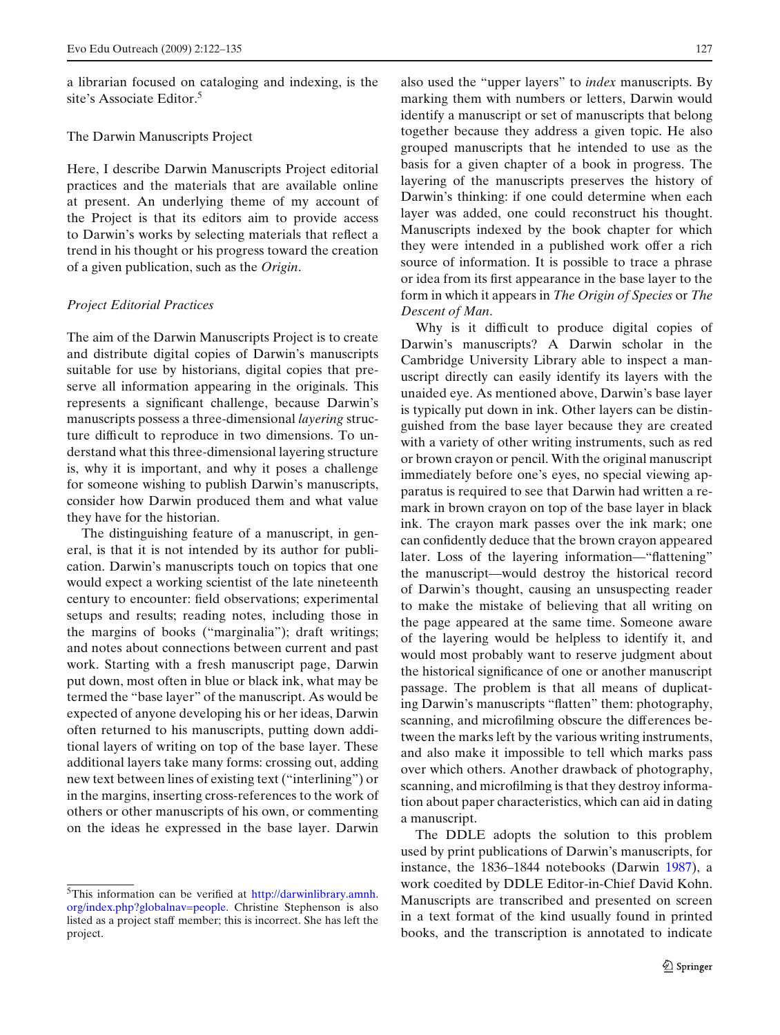a librarian focused on cataloging and indexing, is the site's Associate Editor.<sup>5</sup>

## The Darwin Manuscripts Project

Here, I describe Darwin Manuscripts Project editorial practices and the materials that are available online at present. An underlying theme of my account of the Project is that its editors aim to provide access to Darwin's works by selecting materials that reflect a trend in his thought or his progress toward the creation of a given publication, such as the *Origin*.

## *Project Editorial Practices*

The aim of the Darwin Manuscripts Project is to create and distribute digital copies of Darwin's manuscripts suitable for use by historians, digital copies that preserve all information appearing in the originals. This represents a significant challenge, because Darwin's manuscripts possess a three-dimensional *layering* structure difficult to reproduce in two dimensions. To understand what this three-dimensional layering structure is, why it is important, and why it poses a challenge for someone wishing to publish Darwin's manuscripts, consider how Darwin produced them and what value they have for the historian.

The distinguishing feature of a manuscript, in general, is that it is not intended by its author for publication. Darwin's manuscripts touch on topics that one would expect a working scientist of the late nineteenth century to encounter: field observations; experimental setups and results; reading notes, including those in the margins of books ("marginalia"); draft writings; and notes about connections between current and past work. Starting with a fresh manuscript page, Darwin put down, most often in blue or black ink, what may be termed the "base layer" of the manuscript. As would be expected of anyone developing his or her ideas, Darwin often returned to his manuscripts, putting down additional layers of writing on top of the base layer. These additional layers take many forms: crossing out, adding new text between lines of existing text ("interlining") or in the margins, inserting cross-references to the work of others or other manuscripts of his own, or commenting on the ideas he expressed in the base layer. Darwin also used the "upper layers" to *index* manuscripts. By marking them with numbers or letters, Darwin would identify a manuscript or set of manuscripts that belong together because they address a given topic. He also grouped manuscripts that he intended to use as the basis for a given chapter of a book in progress. The layering of the manuscripts preserves the history of Darwin's thinking: if one could determine when each layer was added, one could reconstruct his thought. Manuscripts indexed by the book chapter for which they were intended in a published work offer a rich source of information. It is possible to trace a phrase or idea from its first appearance in the base layer to the form in which it appears in *The Origin of Species* or *The Descent of Man*.

Why is it difficult to produce digital copies of Darwin's manuscripts? A Darwin scholar in the Cambridge University Library able to inspect a manuscript directly can easily identify its layers with the unaided eye. As mentioned above, Darwin's base layer is typically put down in ink. Other layers can be distinguished from the base layer because they are created with a variety of other writing instruments, such as red or brown crayon or pencil. With the original manuscript immediately before one's eyes, no special viewing apparatus is required to see that Darwin had written a remark in brown crayon on top of the base layer in black ink. The crayon mark passes over the ink mark; one can confidently deduce that the brown crayon appeared later. Loss of the layering information—"flattening" the manuscript—would destroy the historical record of Darwin's thought, causing an unsuspecting reader to make the mistake of believing that all writing on the page appeared at the same time. Someone aware of the layering would be helpless to identify it, and would most probably want to reserve judgment about the historical significance of one or another manuscript passage. The problem is that all means of duplicating Darwin's manuscripts "flatten" them: photography, scanning, and microfilming obscure the differences between the marks left by the various writing instruments, and also make it impossible to tell which marks pass over which others. Another drawback of photography, scanning, and microfilming is that they destroy information about paper characteristics, which can aid in dating a manuscript.

The DDLE adopts the solution to this problem used by print publications of Darwin's manuscripts, for instance, the 1836–1844 notebooks (Darwi[n](#page-13-0) [1987](#page-13-0)), a work coedited by DDLE Editor-in-Chief David Kohn. Manuscripts are transcribed and presented on screen in a text format of the kind usually found in printed books, and the transcription is annotated to indicate

<sup>5</sup>This information can be verified at [http://darwinlibrary.amnh.](http://darwinlibrary.amnh.org/index.php?globalnav=people) [org/index.php?globalnav=people.](http://darwinlibrary.amnh.org/index.php?globalnav=people) Christine Stephenson is also listed as a project staff member; this is incorrect. She has left the project.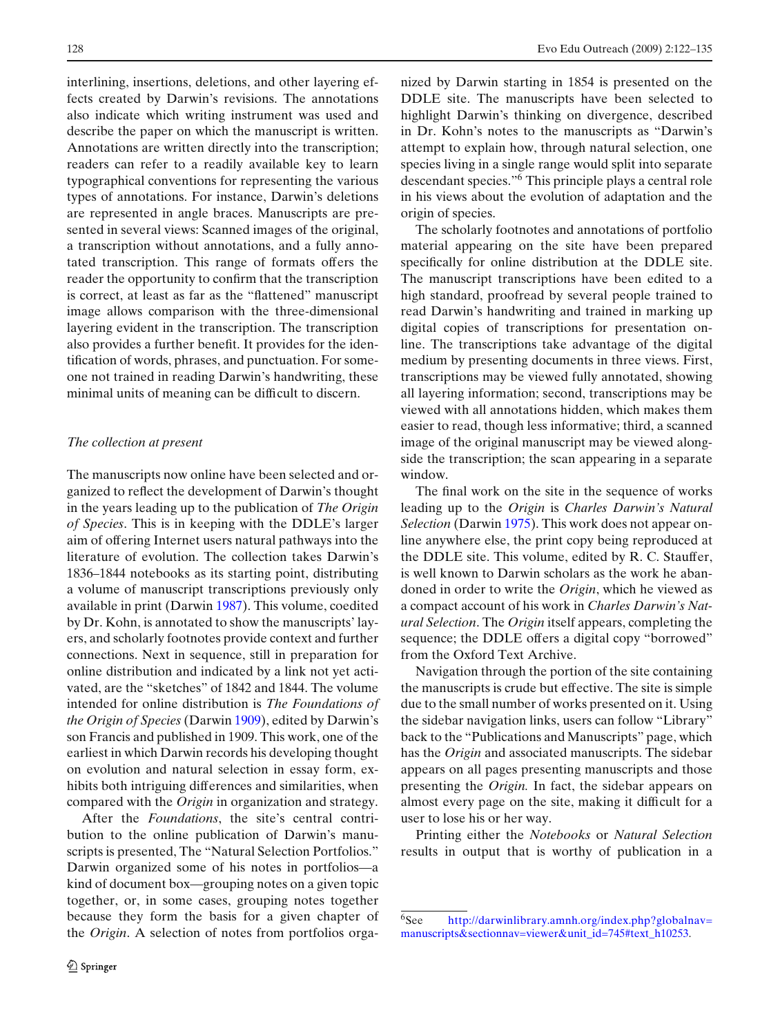interlining, insertions, deletions, and other layering effects created by Darwin's revisions. The annotations also indicate which writing instrument was used and describe the paper on which the manuscript is written. Annotations are written directly into the transcription; readers can refer to a readily available key to learn typographical conventions for representing the various types of annotations. For instance, Darwin's deletions are represented in angle braces. Manuscripts are presented in several views: Scanned images of the original, a transcription without annotations, and a fully annotated transcription. This range of formats offers the reader the opportunity to confirm that the transcription is correct, at least as far as the "flattened" manuscript image allows comparison with the three-dimensional layering evident in the transcription. The transcription also provides a further benefit. It provides for the identification of words, phrases, and punctuation. For someone not trained in reading Darwin's handwriting, these minimal units of meaning can be difficult to discern.

## *The collection at present*

The manuscripts now online have been selected and organized to reflect the development of Darwin's thought in the years leading up to the publication of *The Origin of Species*. This is in keeping with the DDLE's larger aim of offering Internet users natural pathways into the literature of evolution. The collection takes Darwin's 1836–1844 notebooks as its starting point, distributing a volume of manuscript transcriptions previously only available in print (Darwi[n](#page-13-0) [1987](#page-13-0)). This volume, coedited by Dr. Kohn, is annotated to show the manuscripts' layers, and scholarly footnotes provide context and further connections. Next in sequence, still in preparation for online distribution and indicated by a link not yet activated, are the "sketches" of 1842 and 1844. The volume intended for online distribution is *The Foundations of the Origin of Species* (Darwi[n](#page-13-0) [1909](#page-13-0)), edited by Darwin's son Francis and published in 1909. This work, one of the earliest in which Darwin records his developing thought on evolution and natural selection in essay form, exhibits both intriguing differences and similarities, when compared with the *Origin* in organization and strategy.

After the *Foundations*, the site's central contribution to the online publication of Darwin's manuscripts is presented, The "Natural Selection Portfolios." Darwin organized some of his notes in portfolios—a kind of document box—grouping notes on a given topic together, or, in some cases, grouping notes together because they form the basis for a given chapter of the *Origin*. A selection of notes from portfolios organized by Darwin starting in 1854 is presented on the DDLE site. The manuscripts have been selected to highlight Darwin's thinking on divergence, described in Dr. Kohn's notes to the manuscripts as "Darwin's attempt to explain how, through natural selection, one species living in a single range would split into separate descendant species."<sup>6</sup> This principle plays a central role in his views about the evolution of adaptation and the origin of species.

The scholarly footnotes and annotations of portfolio material appearing on the site have been prepared specifically for online distribution at the DDLE site. The manuscript transcriptions have been edited to a high standard, proofread by several people trained to read Darwin's handwriting and trained in marking up digital copies of transcriptions for presentation online. The transcriptions take advantage of the digital medium by presenting documents in three views. First, transcriptions may be viewed fully annotated, showing all layering information; second, transcriptions may be viewed with all annotations hidden, which makes them easier to read, though less informative; third, a scanned image of the original manuscript may be viewed alongside the transcription; the scan appearing in a separate window.

The final work on the site in the sequence of works leading up to the *Origin* is *Charles Darwin's Natural Selection* (Darwi[n](#page-13-0) [1975](#page-13-0)). This work does not appear online anywhere else, the print copy being reproduced at the DDLE site. This volume, edited by R. C. Stauffer, is well known to Darwin scholars as the work he abandoned in order to write the *Origin*, which he viewed as a compact account of his work in *Charles Darwin's Natural Selection*. The *Origin* itself appears, completing the sequence; the DDLE offers a digital copy "borrowed" from the Oxford Text Archive.

Navigation through the portion of the site containing the manuscripts is crude but effective. The site is simple due to the small number of works presented on it. Using the sidebar navigation links, users can follow "Library" back to the "Publications and Manuscripts" page, which has the *Origin* and associated manuscripts. The sidebar appears on all pages presenting manuscripts and those presenting the *Origin.* In fact, the sidebar appears on almost every page on the site, making it difficult for a user to lose his or her way.

Printing either the *Notebooks* or *Natural Selection* results in output that is worthy of publication in a

 $6$ See [http://darwinlibrary.amnh.org/index.php?globalnav=](http://darwinlibrary.amnh.org/index.php?globalnav=manuscripts§ionnav=viewer&unit_id=745#text_h10253) [manuscripts&sectionnav=viewer&unit\\_id=745#text\\_h10253.](http://darwinlibrary.amnh.org/index.php?globalnav=manuscripts§ionnav=viewer&unit_id=745#text_h10253)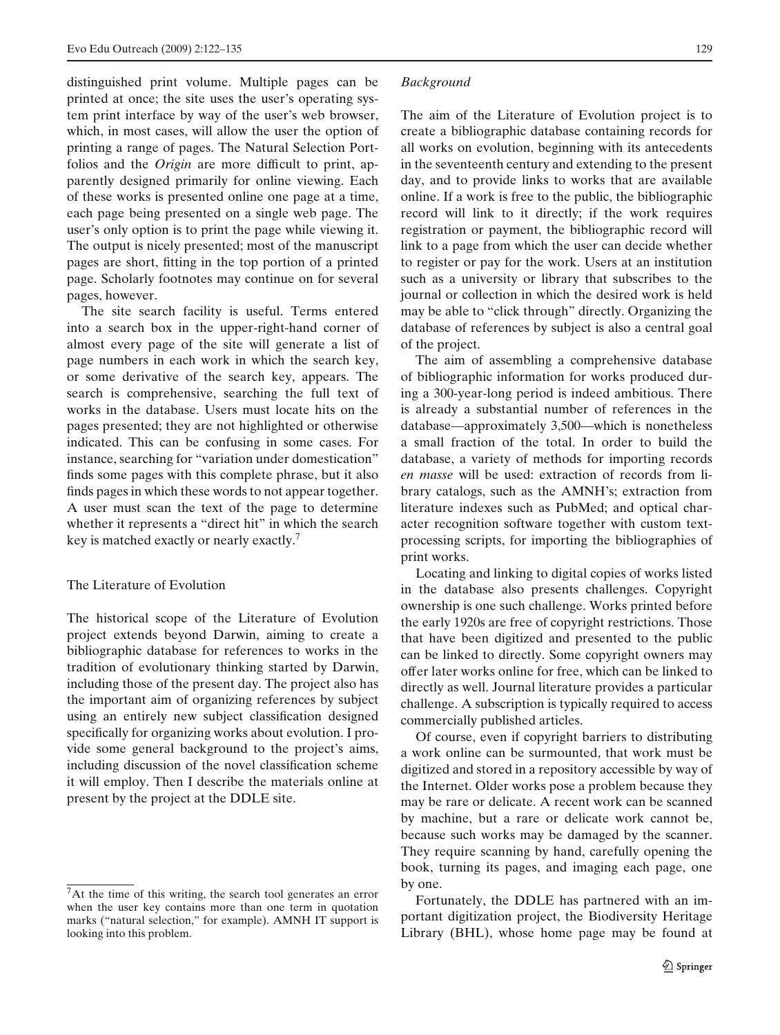distinguished print volume. Multiple pages can be printed at once; the site uses the user's operating system print interface by way of the user's web browser, which, in most cases, will allow the user the option of printing a range of pages. The Natural Selection Portfolios and the *Origin* are more difficult to print, apparently designed primarily for online viewing. Each of these works is presented online one page at a time, each page being presented on a single web page. The user's only option is to print the page while viewing it. The output is nicely presented; most of the manuscript pages are short, fitting in the top portion of a printed page. Scholarly footnotes may continue on for several pages, however.

The site search facility is useful. Terms entered into a search box in the upper-right-hand corner of almost every page of the site will generate a list of page numbers in each work in which the search key, or some derivative of the search key, appears. The search is comprehensive, searching the full text of works in the database. Users must locate hits on the pages presented; they are not highlighted or otherwise indicated. This can be confusing in some cases. For instance, searching for "variation under domestication" finds some pages with this complete phrase, but it also finds pages in which these words to not appear together. A user must scan the text of the page to determine whether it represents a "direct hit" in which the search key is matched exactly or nearly exactly.7

# The Literature of Evolution

The historical scope of the Literature of Evolution project extends beyond Darwin, aiming to create a bibliographic database for references to works in the tradition of evolutionary thinking started by Darwin, including those of the present day. The project also has the important aim of organizing references by subject using an entirely new subject classification designed specifically for organizing works about evolution. I provide some general background to the project's aims, including discussion of the novel classification scheme it will employ. Then I describe the materials online at present by the project at the DDLE site.

#### *Background*

The aim of the Literature of Evolution project is to create a bibliographic database containing records for all works on evolution, beginning with its antecedents in the seventeenth century and extending to the present day, and to provide links to works that are available online. If a work is free to the public, the bibliographic record will link to it directly; if the work requires registration or payment, the bibliographic record will link to a page from which the user can decide whether to register or pay for the work. Users at an institution such as a university or library that subscribes to the journal or collection in which the desired work is held may be able to "click through" directly. Organizing the database of references by subject is also a central goal of the project.

The aim of assembling a comprehensive database of bibliographic information for works produced during a 300-year-long period is indeed ambitious. There is already a substantial number of references in the database—approximately 3,500—which is nonetheless a small fraction of the total. In order to build the database, a variety of methods for importing records *en masse* will be used: extraction of records from library catalogs, such as the AMNH's; extraction from literature indexes such as PubMed; and optical character recognition software together with custom textprocessing scripts, for importing the bibliographies of print works.

Locating and linking to digital copies of works listed in the database also presents challenges. Copyright ownership is one such challenge. Works printed before the early 1920s are free of copyright restrictions. Those that have been digitized and presented to the public can be linked to directly. Some copyright owners may offer later works online for free, which can be linked to directly as well. Journal literature provides a particular challenge. A subscription is typically required to access commercially published articles.

Of course, even if copyright barriers to distributing a work online can be surmounted, that work must be digitized and stored in a repository accessible by way of the Internet. Older works pose a problem because they may be rare or delicate. A recent work can be scanned by machine, but a rare or delicate work cannot be, because such works may be damaged by the scanner. They require scanning by hand, carefully opening the book, turning its pages, and imaging each page, one by one.

Fortunately, the DDLE has partnered with an important digitization project, the Biodiversity Heritage Library (BHL), whose home page may be found at

 $7$ At the time of this writing, the search tool generates an error when the user key contains more than one term in quotation marks ("natural selection," for example). AMNH IT support is looking into this problem.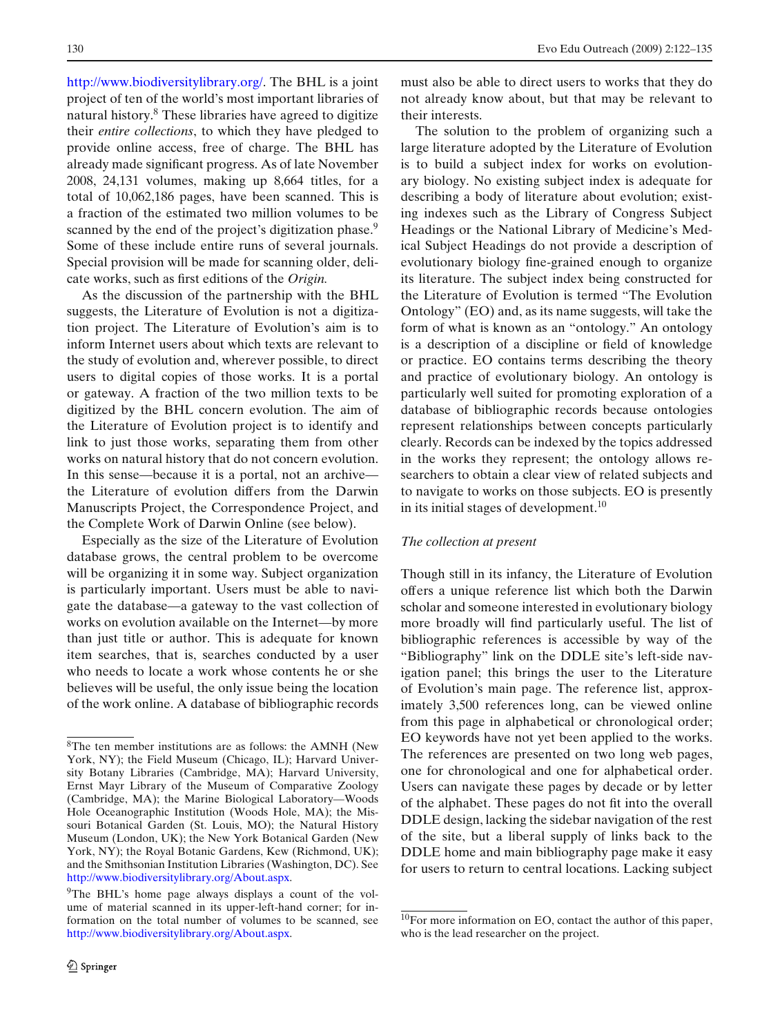[http://www.biodiversitylibrary.org/.](http://www.biodiversitylibrary.org/) The BHL is a joint project of ten of the world's most important libraries of natural history.<sup>8</sup> These libraries have agreed to digitize their *entire collections*, to which they have pledged to provide online access, free of charge. The BHL has already made significant progress. As of late November 2008, 24,131 volumes, making up 8,664 titles, for a total of 10,062,186 pages, have been scanned. This is a fraction of the estimated two million volumes to be scanned by the end of the project's digitization phase.<sup>9</sup> Some of these include entire runs of several journals. Special provision will be made for scanning older, delicate works, such as first editions of the *Origin.*

As the discussion of the partnership with the BHL suggests, the Literature of Evolution is not a digitization project. The Literature of Evolution's aim is to inform Internet users about which texts are relevant to the study of evolution and, wherever possible, to direct users to digital copies of those works. It is a portal or gateway. A fraction of the two million texts to be digitized by the BHL concern evolution. The aim of the Literature of Evolution project is to identify and link to just those works, separating them from other works on natural history that do not concern evolution. In this sense—because it is a portal, not an archive the Literature of evolution differs from the Darwin Manuscripts Project, the Correspondence Project, and the Complete Work of Darwin Online (see below).

Especially as the size of the Literature of Evolution database grows, the central problem to be overcome will be organizing it in some way. Subject organization is particularly important. Users must be able to navigate the database—a gateway to the vast collection of works on evolution available on the Internet—by more than just title or author. This is adequate for known item searches, that is, searches conducted by a user who needs to locate a work whose contents he or she believes will be useful, the only issue being the location of the work online. A database of bibliographic records must also be able to direct users to works that they do not already know about, but that may be relevant to their interests.

The solution to the problem of organizing such a large literature adopted by the Literature of Evolution is to build a subject index for works on evolutionary biology. No existing subject index is adequate for describing a body of literature about evolution; existing indexes such as the Library of Congress Subject Headings or the National Library of Medicine's Medical Subject Headings do not provide a description of evolutionary biology fine-grained enough to organize its literature. The subject index being constructed for the Literature of Evolution is termed "The Evolution Ontology" (EO) and, as its name suggests, will take the form of what is known as an "ontology." An ontology is a description of a discipline or field of knowledge or practice. EO contains terms describing the theory and practice of evolutionary biology. An ontology is particularly well suited for promoting exploration of a database of bibliographic records because ontologies represent relationships between concepts particularly clearly. Records can be indexed by the topics addressed in the works they represent; the ontology allows researchers to obtain a clear view of related subjects and to navigate to works on those subjects. EO is presently in its initial stages of development. $10$ 

# *The collection at present*

Though still in its infancy, the Literature of Evolution offers a unique reference list which both the Darwin scholar and someone interested in evolutionary biology more broadly will find particularly useful. The list of bibliographic references is accessible by way of the "Bibliography" link on the DDLE site's left-side navigation panel; this brings the user to the Literature of Evolution's main page. The reference list, approximately 3,500 references long, can be viewed online from this page in alphabetical or chronological order; EO keywords have not yet been applied to the works. The references are presented on two long web pages, one for chronological and one for alphabetical order. Users can navigate these pages by decade or by letter of the alphabet. These pages do not fit into the overall DDLE design, lacking the sidebar navigation of the rest of the site, but a liberal supply of links back to the DDLE home and main bibliography page make it easy for users to return to central locations. Lacking subject

<sup>8</sup>The ten member institutions are as follows: the AMNH (New York, NY); the Field Museum (Chicago, IL); Harvard University Botany Libraries (Cambridge, MA); Harvard University, Ernst Mayr Library of the Museum of Comparative Zoology (Cambridge, MA); the Marine Biological Laboratory—Woods Hole Oceanographic Institution (Woods Hole, MA); the Missouri Botanical Garden (St. Louis, MO); the Natural History Museum (London, UK); the New York Botanical Garden (New York, NY); the Royal Botanic Gardens, Kew (Richmond, UK); and the Smithsonian Institution Libraries (Washington, DC). See [http://www.biodiversitylibrary.org/About.aspx.](http://www.biodiversitylibrary.org/About.aspx)

<sup>9</sup>The BHL's home page always displays a count of the volume of material scanned in its upper-left-hand corner; for information on the total number of volumes to be scanned, see [http://www.biodiversitylibrary.org/About.aspx.](http://www.biodiversitylibrary.org/About.aspx)

<sup>&</sup>lt;sup>10</sup>For more information on EO, contact the author of this paper, who is the lead researcher on the project.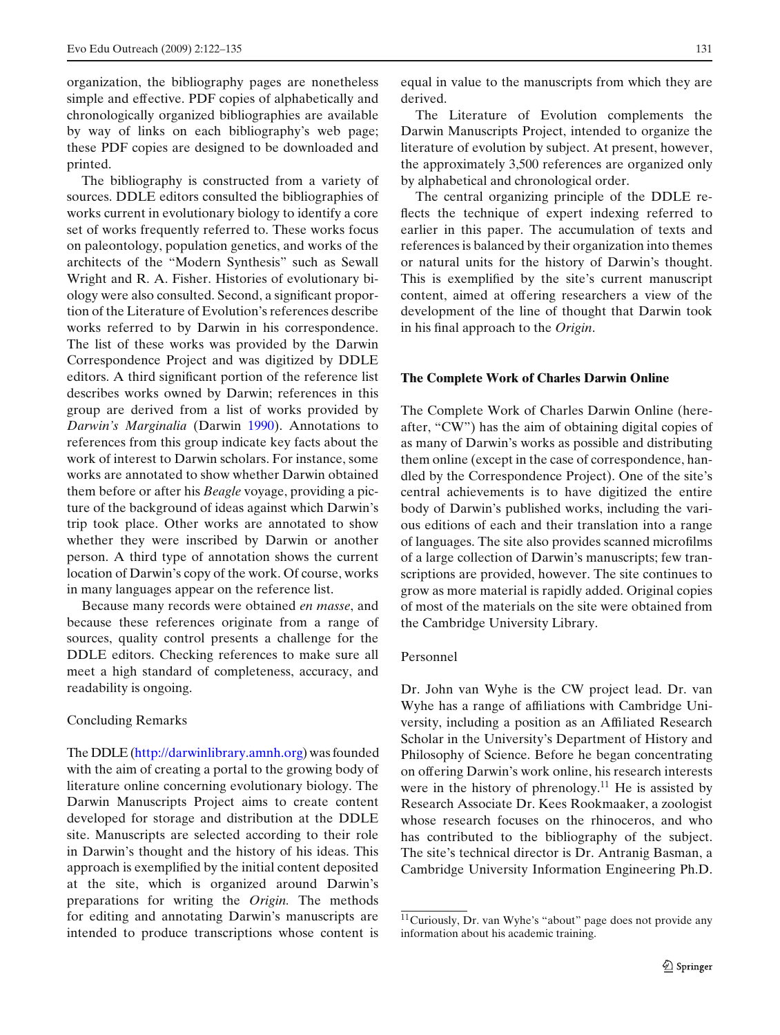<span id="page-9-0"></span>organization, the bibliography pages are nonetheless simple and effective. PDF copies of alphabetically and chronologically organized bibliographies are available by way of links on each bibliography's web page; these PDF copies are designed to be downloaded and printed.

The bibliography is constructed from a variety of sources. DDLE editors consulted the bibliographies of works current in evolutionary biology to identify a core set of works frequently referred to. These works focus on paleontology, population genetics, and works of the architects of the "Modern Synthesis" such as Sewall Wright and R. A. Fisher. Histories of evolutionary biology were also consulted. Second, a significant proportion of the Literature of Evolution's references describe works referred to by Darwin in his correspondence. The list of these works was provided by the Darwin Correspondence Project and was digitized by DDLE editors. A third significant portion of the reference list describes works owned by Darwin; references in this group are derived from a list of works provided by *Darwin's Marginalia* (Darwi[n](#page-13-0) [1990](#page-13-0)). Annotations to references from this group indicate key facts about the work of interest to Darwin scholars. For instance, some works are annotated to show whether Darwin obtained them before or after his *Beagle* voyage, providing a picture of the background of ideas against which Darwin's trip took place. Other works are annotated to show whether they were inscribed by Darwin or another person. A third type of annotation shows the current location of Darwin's copy of the work. Of course, works in many languages appear on the reference list.

Because many records were obtained *en masse*, and because these references originate from a range of sources, quality control presents a challenge for the DDLE editors. Checking references to make sure all meet a high standard of completeness, accuracy, and readability is ongoing.

# Concluding Remarks

The DDLE [\(http://darwinlibrary.amnh.org\)](http://darwinlibrary.amnh.org) was founded with the aim of creating a portal to the growing body of literature online concerning evolutionary biology. The Darwin Manuscripts Project aims to create content developed for storage and distribution at the DDLE site. Manuscripts are selected according to their role in Darwin's thought and the history of his ideas. This approach is exemplified by the initial content deposited at the site, which is organized around Darwin's preparations for writing the *Origin.* The methods for editing and annotating Darwin's manuscripts are intended to produce transcriptions whose content is equal in value to the manuscripts from which they are derived.

The Literature of Evolution complements the Darwin Manuscripts Project, intended to organize the literature of evolution by subject. At present, however, the approximately 3,500 references are organized only by alphabetical and chronological order.

The central organizing principle of the DDLE reflects the technique of expert indexing referred to earlier in this paper. The accumulation of texts and references is balanced by their organization into themes or natural units for the history of Darwin's thought. This is exemplified by the site's current manuscript content, aimed at offering researchers a view of the development of the line of thought that Darwin took in his final approach to the *Origin*.

#### **The Complete Work of Charles Darwin Online**

The Complete Work of Charles Darwin Online (hereafter, "CW") has the aim of obtaining digital copies of as many of Darwin's works as possible and distributing them online (except in the case of correspondence, handled by the Correspondence Project). One of the site's central achievements is to have digitized the entire body of Darwin's published works, including the various editions of each and their translation into a range of languages. The site also provides scanned microfilms of a large collection of Darwin's manuscripts; few transcriptions are provided, however. The site continues to grow as more material is rapidly added. Original copies of most of the materials on the site were obtained from the Cambridge University Library.

## Personnel

Dr. John van Wyhe is the CW project lead. Dr. van Wyhe has a range of affiliations with Cambridge University, including a position as an Affiliated Research Scholar in the University's Department of History and Philosophy of Science. Before he began concentrating on offering Darwin's work online, his research interests were in the history of phrenology.<sup>11</sup> He is assisted by Research Associate Dr. Kees Rookmaaker, a zoologist whose research focuses on the rhinoceros, and who has contributed to the bibliography of the subject. The site's technical director is Dr. Antranig Basman, a Cambridge University Information Engineering Ph.D.

<sup>11</sup>Curiously, Dr. van Wyhe's "about" page does not provide any information about his academic training.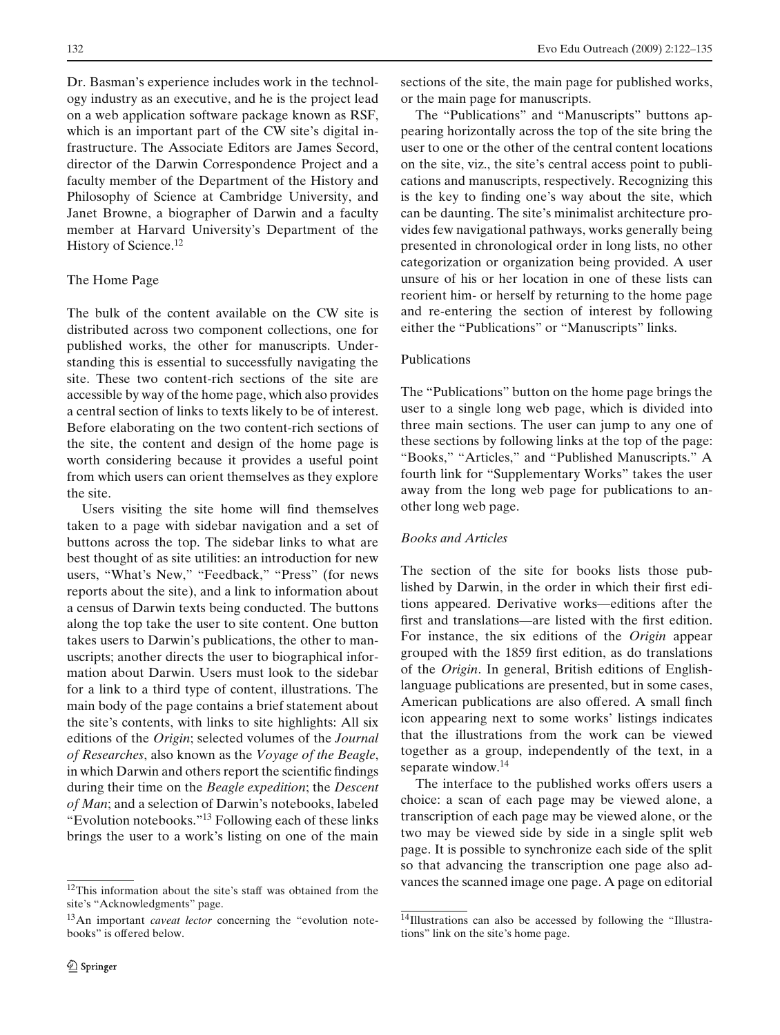<span id="page-10-0"></span>Dr. Basman's experience includes work in the technology industry as an executive, and he is the project lead on a web application software package known as RSF, which is an important part of the CW site's digital infrastructure. The Associate Editors are James Secord, director of the Darwin Correspondence Project and a faculty member of the Department of the History and Philosophy of Science at Cambridge University, and Janet Browne, a biographer of Darwin and a faculty member at Harvard University's Department of the History of Science.12

# The Home Page

The bulk of the content available on the CW site is distributed across two component collections, one for published works, the other for manuscripts. Understanding this is essential to successfully navigating the site. These two content-rich sections of the site are accessible by way of the home page, which also provides a central section of links to texts likely to be of interest. Before elaborating on the two content-rich sections of the site, the content and design of the home page is worth considering because it provides a useful point from which users can orient themselves as they explore the site.

Users visiting the site home will find themselves taken to a page with sidebar navigation and a set of buttons across the top. The sidebar links to what are best thought of as site utilities: an introduction for new users, "What's New," "Feedback," "Press" (for news reports about the site), and a link to information about a census of Darwin texts being conducted. The buttons along the top take the user to site content. One button takes users to Darwin's publications, the other to manuscripts; another directs the user to biographical information about Darwin. Users must look to the sidebar for a link to a third type of content, illustrations. The main body of the page contains a brief statement about the site's contents, with links to site highlights: All six editions of the *Origin*; selected volumes of the *Journal of Researches*, also known as the *Voyage of the Beagle*, in which Darwin and others report the scientific findings during their time on the *Beagle expedition*; the *Descent of Man*; and a selection of Darwin's notebooks, labeled "Evolution notebooks."13 Following each of these links brings the user to a work's listing on one of the main

sections of the site, the main page for published works, or the main page for manuscripts.

The "Publications" and "Manuscripts" buttons appearing horizontally across the top of the site bring the user to one or the other of the central content locations on the site, viz., the site's central access point to publications and manuscripts, respectively. Recognizing this is the key to finding one's way about the site, which can be daunting. The site's minimalist architecture provides few navigational pathways, works generally being presented in chronological order in long lists, no other categorization or organization being provided. A user unsure of his or her location in one of these lists can reorient him- or herself by returning to the home page and re-entering the section of interest by following either the "Publications" or "Manuscripts" links.

## Publications

The "Publications" button on the home page brings the user to a single long web page, which is divided into three main sections. The user can jump to any one of these sections by following links at the top of the page: "Books," "Articles," and "Published Manuscripts." A fourth link for "Supplementary Works" takes the user away from the long web page for publications to another long web page.

# *Books and Articles*

The section of the site for books lists those published by Darwin, in the order in which their first editions appeared. Derivative works—editions after the first and translations—are listed with the first edition. For instance, the six editions of the *Origin* appear grouped with the 1859 first edition, as do translations of the *Origin*. In general, British editions of Englishlanguage publications are presented, but in some cases, American publications are also offered. A small finch icon appearing next to some works' listings indicates that the illustrations from the work can be viewed together as a group, independently of the text, in a separate window.<sup>14</sup>

The interface to the published works offers users a choice: a scan of each page may be viewed alone, a transcription of each page may be viewed alone, or the two may be viewed side by side in a single split web page. It is possible to synchronize each side of the split so that advancing the transcription one page also advances the scanned image one page. A page on editorial

<sup>12</sup>This information about the site's staff was obtained from the site's "Acknowledgments" page.

<sup>13</sup>An important *caveat lector* concerning the "evolution notebooks" is offered below.

<sup>14</sup>Illustrations can also be accessed by following the "Illustrations" link on the site's home page.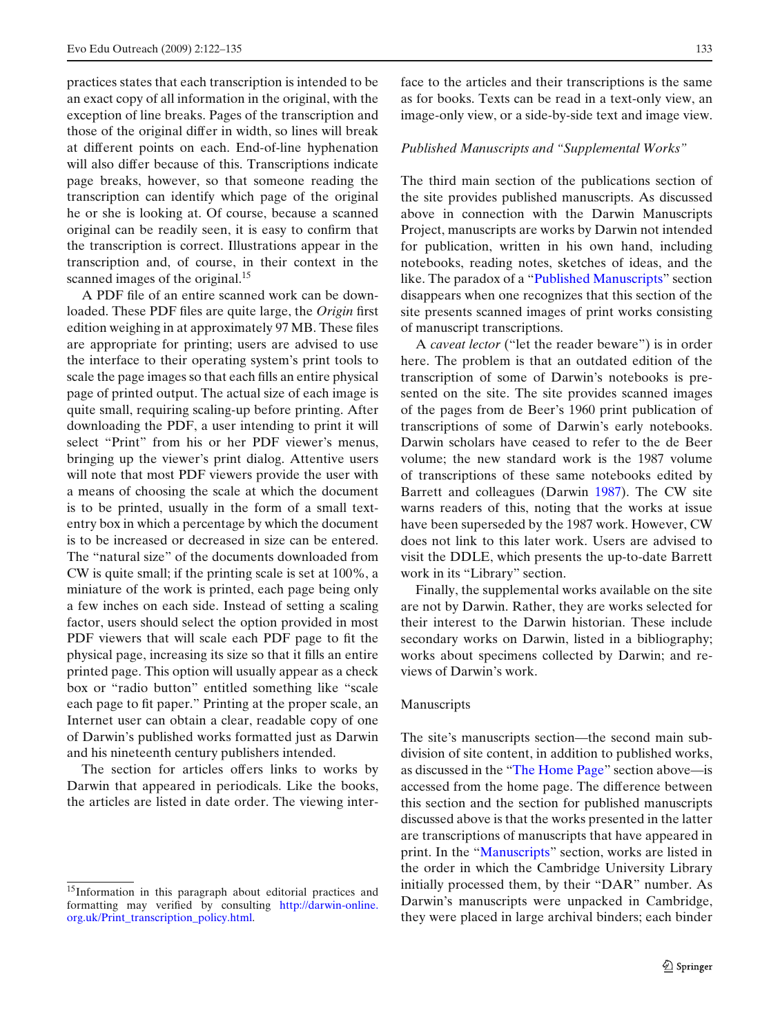practices states that each transcription is intended to be an exact copy of all information in the original, with the exception of line breaks. Pages of the transcription and those of the original differ in width, so lines will break at different points on each. End-of-line hyphenation will also differ because of this. Transcriptions indicate page breaks, however, so that someone reading the transcription can identify which page of the original he or she is looking at. Of course, because a scanned original can be readily seen, it is easy to confirm that the transcription is correct. Illustrations appear in the transcription and, of course, in their context in the scanned images of the original.<sup>15</sup>

A PDF file of an entire scanned work can be downloaded. These PDF files are quite large, the *Origin* first edition weighing in at approximately 97 MB. These files are appropriate for printing; users are advised to use the interface to their operating system's print tools to scale the page images so that each fills an entire physical page of printed output. The actual size of each image is quite small, requiring scaling-up before printing. After downloading the PDF, a user intending to print it will select "Print" from his or her PDF viewer's menus, bringing up the viewer's print dialog. Attentive users will note that most PDF viewers provide the user with a means of choosing the scale at which the document is to be printed, usually in the form of a small textentry box in which a percentage by which the document is to be increased or decreased in size can be entered. The "natural size" of the documents downloaded from CW is quite small; if the printing scale is set at 100%, a miniature of the work is printed, each page being only a few inches on each side. Instead of setting a scaling factor, users should select the option provided in most PDF viewers that will scale each PDF page to fit the physical page, increasing its size so that it fills an entire printed page. This option will usually appear as a check box or "radio button" entitled something like "scale each page to fit paper." Printing at the proper scale, an Internet user can obtain a clear, readable copy of one of Darwin's published works formatted just as Darwin and his nineteenth century publishers intended.

The section for articles offers links to works by Darwin that appeared in periodicals. Like the books, the articles are listed in date order. The viewing interface to the articles and their transcriptions is the same as for books. Texts can be read in a text-only view, an image-only view, or a side-by-side text and image view.

# *Published Manuscripts and "Supplemental Works"*

The third main section of the publications section of the site provides published manuscripts. As discussed above in connection with the Darwin Manuscripts Project, manuscripts are works by Darwin not intended for publication, written in his own hand, including notebooks, reading notes, sketches of ideas, and the like. The paradox of a "Published Manuscripts" section disappears when one recognizes that this section of the site presents scanned images of print works consisting of manuscript transcriptions.

A *caveat lector* ("let the reader beware") is in order here. The problem is that an outdated edition of the transcription of some of Darwin's notebooks is presented on the site. The site provides scanned images of the pages from de Beer's 1960 print publication of transcriptions of some of Darwin's early notebooks. Darwin scholars have ceased to refer to the de Beer volume; the new standard work is the 1987 volume of transcriptions of these same notebooks edited by Barrett and colleagues (Darwi[n](#page-13-0) [1987](#page-13-0)). The CW site warns readers of this, noting that the works at issue have been superseded by the 1987 work. However, CW does not link to this later work. Users are advised to visit the DDLE, which presents the up-to-date Barrett work in its "Library" section.

Finally, the supplemental works available on the site are not by Darwin. Rather, they are works selected for their interest to the Darwin historian. These include secondary works on Darwin, listed in a bibliography; works about specimens collected by Darwin; and reviews of Darwin's work.

## Manuscripts

The site's manuscripts section—the second main subdivision of site content, in addition to published works, as discussed in the ["The Home Page"](#page-10-0) section above—is accessed from the home page. The difference between this section and the section for published manuscripts discussed above is that the works presented in the latter are transcriptions of manuscripts that have appeared in print. In the "Manuscripts" section, works are listed in the order in which the Cambridge University Library initially processed them, by their "DAR" number. As Darwin's manuscripts were unpacked in Cambridge, they were placed in large archival binders; each binder

<sup>&</sup>lt;sup>15</sup>Information in this paragraph about editorial practices and formatting may verified by consulting [http://darwin-online.](http://darwin-online.org.uk/Print_transcription_policy.html) [org.uk/Print\\_transcription\\_policy.html.](http://darwin-online.org.uk/Print_transcription_policy.html)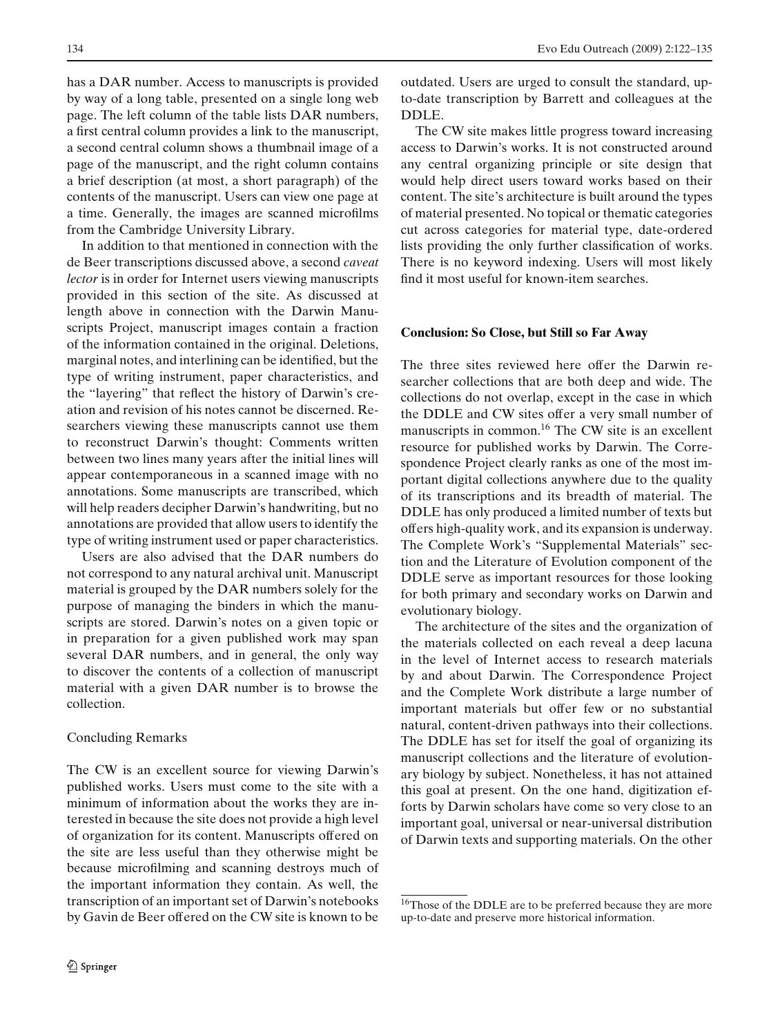has a DAR number. Access to manuscripts is provided by way of a long table, presented on a single long web page. The left column of the table lists DAR numbers, a first central column provides a link to the manuscript, a second central column shows a thumbnail image of a page of the manuscript, and the right column contains a brief description (at most, a short paragraph) of the contents of the manuscript. Users can view one page at a time. Generally, the images are scanned microfilms from the Cambridge University Library.

In addition to that mentioned in connection with the de Beer transcriptions discussed above, a second *caveat lector* is in order for Internet users viewing manuscripts provided in this section of the site. As discussed at length above in connection with the Darwin Manuscripts Project, manuscript images contain a fraction of the information contained in the original. Deletions, marginal notes, and interlining can be identified, but the type of writing instrument, paper characteristics, and the "layering" that reflect the history of Darwin's creation and revision of his notes cannot be discerned. Researchers viewing these manuscripts cannot use them to reconstruct Darwin's thought: Comments written between two lines many years after the initial lines will appear contemporaneous in a scanned image with no annotations. Some manuscripts are transcribed, which will help readers decipher Darwin's handwriting, but no annotations are provided that allow users to identify the type of writing instrument used or paper characteristics.

Users are also advised that the DAR numbers do not correspond to any natural archival unit. Manuscript material is grouped by the DAR numbers solely for the purpose of managing the binders in which the manuscripts are stored. Darwin's notes on a given topic or in preparation for a given published work may span several DAR numbers, and in general, the only way to discover the contents of a collection of manuscript material with a given DAR number is to browse the collection.

## Concluding Remarks

The CW is an excellent source for viewing Darwin's published works. Users must come to the site with a minimum of information about the works they are interested in because the site does not provide a high level of organization for its content. Manuscripts offered on the site are less useful than they otherwise might be because microfilming and scanning destroys much of the important information they contain. As well, the transcription of an important set of Darwin's notebooks by Gavin de Beer offered on the CW site is known to be outdated. Users are urged to consult the standard, upto-date transcription by Barrett and colleagues at the DDLE.

The CW site makes little progress toward increasing access to Darwin's works. It is not constructed around any central organizing principle or site design that would help direct users toward works based on their content. The site's architecture is built around the types of material presented. No topical or thematic categories cut across categories for material type, date-ordered lists providing the only further classification of works. There is no keyword indexing. Users will most likely find it most useful for known-item searches.

# **Conclusion: So Close, but Still so Far Away**

The three sites reviewed here offer the Darwin researcher collections that are both deep and wide. The collections do not overlap, except in the case in which the DDLE and CW sites offer a very small number of manuscripts in common.<sup>16</sup> The CW site is an excellent resource for published works by Darwin. The Correspondence Project clearly ranks as one of the most important digital collections anywhere due to the quality of its transcriptions and its breadth of material. The DDLE has only produced a limited number of texts but offers high-quality work, and its expansion is underway. The Complete Work's "Supplemental Materials" section and the Literature of Evolution component of the DDLE serve as important resources for those looking for both primary and secondary works on Darwin and evolutionary biology.

The architecture of the sites and the organization of the materials collected on each reveal a deep lacuna in the level of Internet access to research materials by and about Darwin. The Correspondence Project and the Complete Work distribute a large number of important materials but offer few or no substantial natural, content-driven pathways into their collections. The DDLE has set for itself the goal of organizing its manuscript collections and the literature of evolutionary biology by subject. Nonetheless, it has not attained this goal at present. On the one hand, digitization efforts by Darwin scholars have come so very close to an important goal, universal or near-universal distribution of Darwin texts and supporting materials. On the other

<sup>&</sup>lt;sup>16</sup>Those of the DDLE are to be preferred because they are more up-to-date and preserve more historical information.